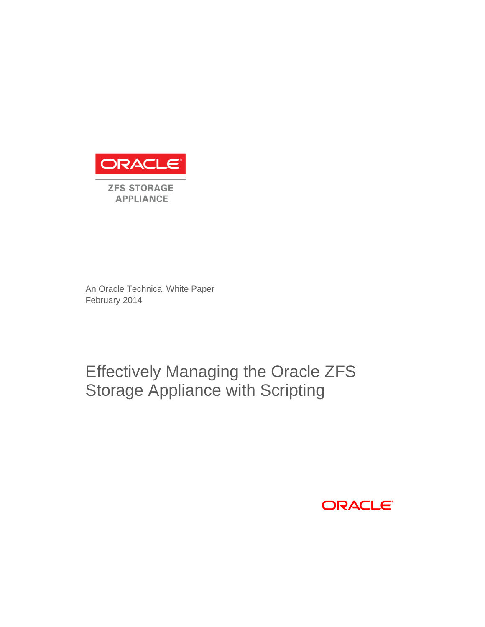

An Oracle Technical White Paper February 2014

# Effectively Managing the Oracle ZFS Storage Appliance with Scripting

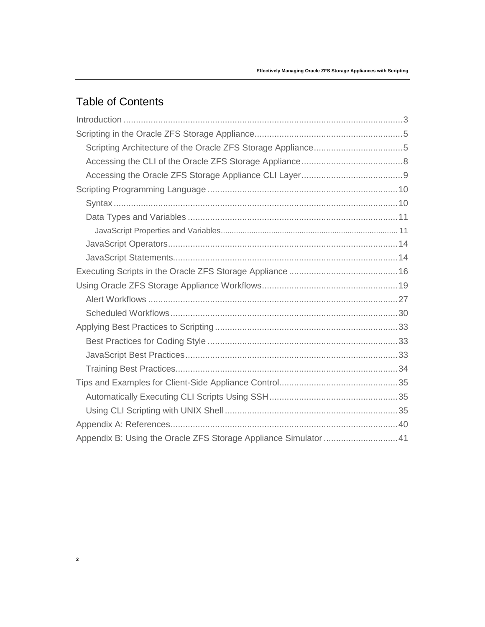## Table of Contents

**2**

| Appendix B: Using the Oracle ZFS Storage Appliance Simulator 41 |  |
|-----------------------------------------------------------------|--|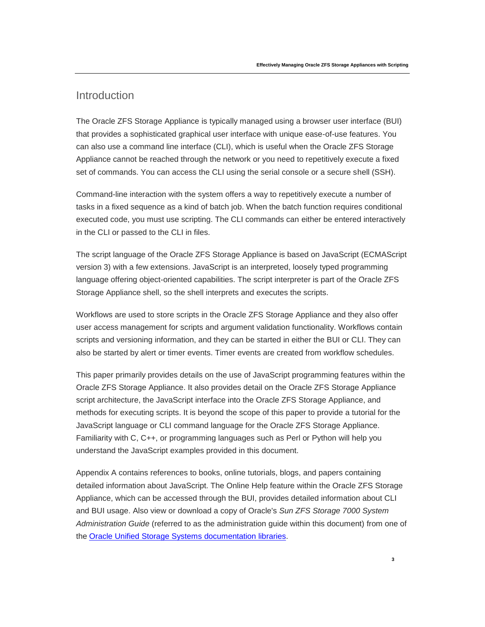**3**

## Introduction

The Oracle ZFS Storage Appliance is typically managed using a browser user interface (BUI) that provides a sophisticated graphical user interface with unique ease-of-use features. You can also use a command line interface (CLI), which is useful when the Oracle ZFS Storage Appliance cannot be reached through the network or you need to repetitively execute a fixed set of commands. You can access the CLI using the serial console or a secure shell (SSH).

Command-line interaction with the system offers a way to repetitively execute a number of tasks in a fixed sequence as a kind of batch job. When the batch function requires conditional executed code, you must use scripting. The CLI commands can either be entered interactively in the CLI or passed to the CLI in files.

The script language of the Oracle ZFS Storage Appliance is based on JavaScript (ECMAScript version 3) with a few extensions. JavaScript is an interpreted, loosely typed programming language offering object-oriented capabilities. The script interpreter is part of the Oracle ZFS Storage Appliance shell, so the shell interprets and executes the scripts.

Workflows are used to store scripts in the Oracle ZFS Storage Appliance and they also offer user access management for scripts and argument validation functionality. Workflows contain scripts and versioning information, and they can be started in either the BUI or CLI. They can also be started by alert or timer events. Timer events are created from workflow schedules.

This paper primarily provides details on the use of JavaScript programming features within the Oracle ZFS Storage Appliance. It also provides detail on the Oracle ZFS Storage Appliance script architecture, the JavaScript interface into the Oracle ZFS Storage Appliance, and methods for executing scripts. It is beyond the scope of this paper to provide a tutorial for the JavaScript language or CLI command language for the Oracle ZFS Storage Appliance. Familiarity with C, C++, or programming languages such as Perl or Python will help you understand the JavaScript examples provided in this document.

Appendix A contains references to books, online tutorials, blogs, and papers containing detailed information about JavaScript. The Online Help feature within the Oracle ZFS Storage Appliance, which can be accessed through the BUI, provides detailed information about CLI and BUI usage. Also view or download a copy of Oracle's *Sun ZFS Storage 7000 System Administration Guide* (referred to as the administration guide within this document) from one of the Oracle [Unified Storage Systems documentation libraries.](http://www.oracle.com/technetwork/documentation/oracle-unified-ss-193371.html)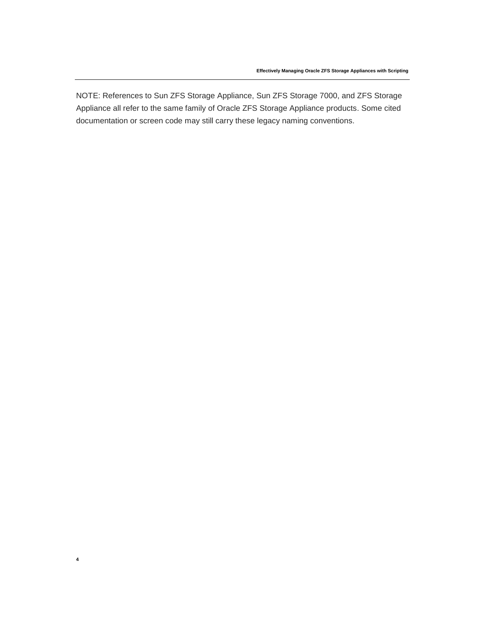NOTE: References to Sun ZFS Storage Appliance, Sun ZFS Storage 7000, and ZFS Storage Appliance all refer to the same family of Oracle ZFS Storage Appliance products. Some cited documentation or screen code may still carry these legacy naming conventions.

**4**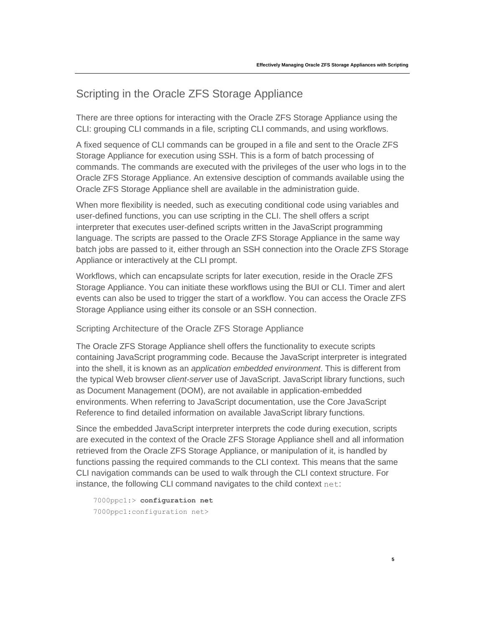**5**

## Scripting in the Oracle ZFS Storage Appliance

There are three options for interacting with the Oracle ZFS Storage Appliance using the CLI: grouping CLI commands in a file, scripting CLI commands, and using workflows.

A fixed sequence of CLI commands can be grouped in a file and sent to the Oracle ZFS Storage Appliance for execution using SSH. This is a form of batch processing of commands. The commands are executed with the privileges of the user who logs in to the Oracle ZFS Storage Appliance. An extensive desciption of commands available using the Oracle ZFS Storage Appliance shell are available in the administration guide.

When more flexibility is needed, such as executing conditional code using variables and user-defined functions, you can use scripting in the CLI. The shell offers a script interpreter that executes user-defined scripts written in the JavaScript programming language. The scripts are passed to the Oracle ZFS Storage Appliance in the same way batch jobs are passed to it, either through an SSH connection into the Oracle ZFS Storage Appliance or interactively at the CLI prompt.

Workflows, which can encapsulate scripts for later execution, reside in the Oracle ZFS Storage Appliance. You can initiate these workflows using the BUI or CLI. Timer and alert events can also be used to trigger the start of a workflow. You can access the Oracle ZFS Storage Appliance using either its console or an SSH connection.

Scripting Architecture of the Oracle ZFS Storage Appliance

The Oracle ZFS Storage Appliance shell offers the functionality to execute scripts containing JavaScript programming code. Because the JavaScript interpreter is integrated into the shell, it is known as an *application embedded environment*. This is different from the typical Web browser *client-server* use of JavaScript. JavaScript library functions, such as Document Management (DOM), are not available in application-embedded environments. When referring to JavaScript documentation, use the Core JavaScript Reference to find detailed information on available JavaScript library functions.

Since the embedded JavaScript interpreter interprets the code during execution, scripts are executed in the context of the Oracle ZFS Storage Appliance shell and all information retrieved from the Oracle ZFS Storage Appliance, or manipulation of it, is handled by functions passing the required commands to the CLI context. This means that the same CLI navigation commands can be used to walk through the CLI context structure. For instance, the following CLI command navigates to the child context net:

7000ppc1:> **configuration net** 7000ppc1:configuration net>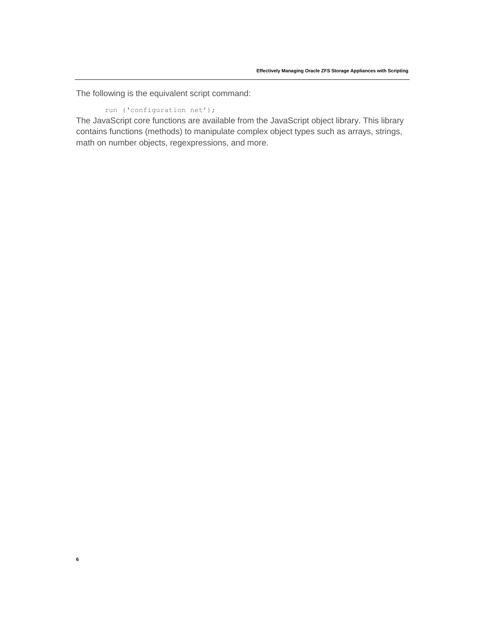The following is the equivalent script command:

```
run ('configuration net');
```
**6**

The JavaScript core functions are available from the JavaScript object library. This library contains functions (methods) to manipulate complex object types such as arrays, strings, math on number objects, regexpressions, and more.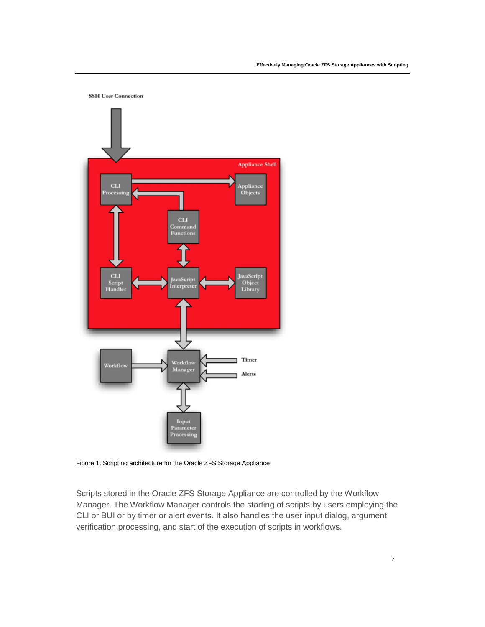#### **Effectively Managing Oracle ZFS Storage Appliances with Scripting**

**7**



Figure 1. Scripting architecture for the Oracle ZFS Storage Appliance

Scripts stored in the Oracle ZFS Storage Appliance are controlled by the Workflow Manager. The Workflow Manager controls the starting of scripts by users employing the CLI or BUI or by timer or alert events. It also handles the user input dialog, argument verification processing, and start of the execution of scripts in workflows.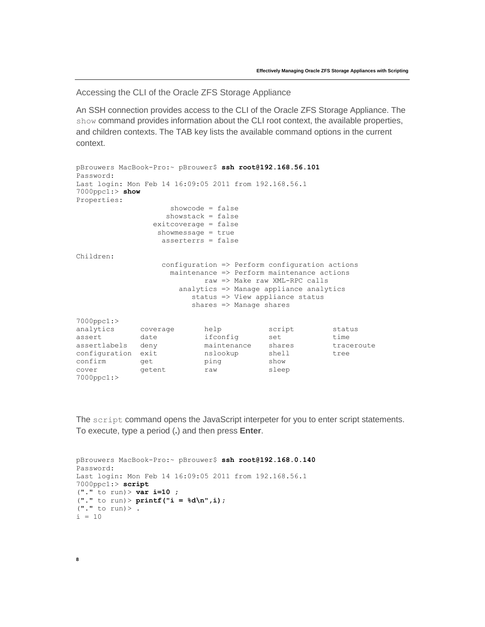Accessing the CLI of the Oracle ZFS Storage Appliance

An SSH connection provides access to the CLI of the Oracle ZFS Storage Appliance. The show command provides information about the CLI root context, the available properties, and children contexts. The TAB key lists the available command options in the current context.

```
pBrouwers MacBook-Pro:~ pBrouwer$ ssh root@192.168.56.101
Password: 
Last login: Mon Feb 14 16:09:05 2011 from 192.168.56.1
7000ppc1:> show
Properties:
                  showcode = false
                  showstack = false
               exitcoverage = false
                showmessage = true
                 asserterrs = false
Children:
                 configuration => Perform configuration actions
                  maintenance => Perform maintenance actions
                         raw => Make raw XML-RPC calls
                    analytics => Manage appliance analytics
                      status => View appliance status
                       shares => Manage shares
7000ppc1:> 
analytics coverage help script status
assert date ifconfig set time
assertlabels deny maintenance shares traceroute
configuration exit nslookup shell tree
confirm get ping show
cover getent raw sleep
7000ppc1:>
```
The script command opens the JavaScript interpeter for you to enter script statements. To execute, type a period (**.**) and then press **Enter**.

```
pBrouwers MacBook-Pro:~ pBrouwer$ ssh root@192.168.0.140
Password: 
Last login: Mon Feb 14 16:09:05 2011 from 192.168.56.1
7000ppc1:> script
("." to run)> var i=10 ;
("." to run)> printf("i = %d\n",i);
("." to run)> .
i = 10
```
**8**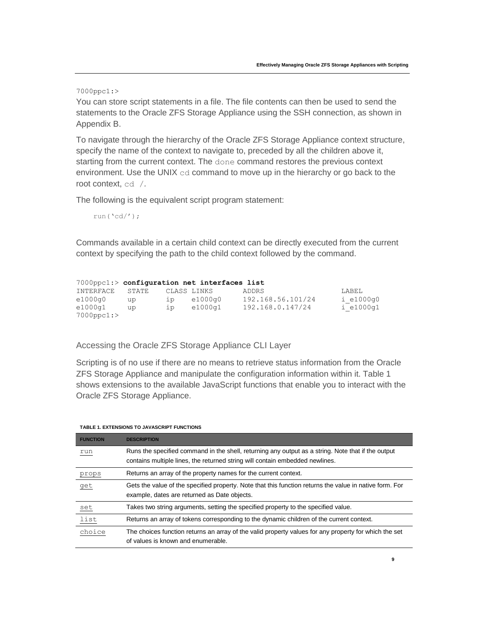7000ppc1:>

You can store script statements in a file. The file contents can then be used to send the statements to the Oracle ZFS Storage Appliance using the SSH connection, as shown in Appendix B.

To navigate through the hierarchy of the Oracle ZFS Storage Appliance context structure, specify the name of the context to navigate to, preceded by all the children above it, starting from the current context. The done command restores the previous context environment. Use the UNIX  $cd$  command to move up in the hierarchy or go back to the root context, cd /*.*

The following is the equivalent script program statement:

run('cd/');

Commands available in a certain child context can be directly executed from the current context by specifying the path to the child context followed by the command.

| 7000ppc1:> configuration net interfaces list |       |    |             |                   |             |
|----------------------------------------------|-------|----|-------------|-------------------|-------------|
| INTERFACE                                    | STATE |    | CLASS LINKS | ADDRS             | LABEL       |
| e1000q0                                      | up    | ip | e1000q0     | 192.168.56.101/24 | i e1000q0   |
| e1000q1                                      | up    | ip | e1000q1     | 192.168.0.147/24  | $i$ e1000q1 |
| $7000$ ppc $1:$                              |       |    |             |                   |             |

Accessing the Oracle ZFS Storage Appliance CLI Layer

Scripting is of no use if there are no means to retrieve status information from the Oracle ZFS Storage Appliance and manipulate the configuration information within it. Table 1 shows extensions to the available JavaScript functions that enable you to interact with the Oracle ZFS Storage Appliance.

| TABLE 1. EXTENSIONS TO JAVASCRIPT FUNCTIONS |
|---------------------------------------------|
|---------------------------------------------|

| <b>FUNCTION</b> | <b>DESCRIPTION</b>                                                                                                                                                                 |
|-----------------|------------------------------------------------------------------------------------------------------------------------------------------------------------------------------------|
| run             | Runs the specified command in the shell, returning any output as a string. Note that if the output<br>contains multiple lines, the returned string will contain embedded newlines. |
| props           | Returns an array of the property names for the current context.                                                                                                                    |
| get             | Gets the value of the specified property. Note that this function returns the value in native form. For<br>example, dates are returned as Date objects.                            |
| set             | Takes two string arguments, setting the specified property to the specified value.                                                                                                 |
| list            | Returns an array of tokens corresponding to the dynamic children of the current context.                                                                                           |
| choice          | The choices function returns an array of the valid property values for any property for which the set<br>of values is known and enumerable.                                        |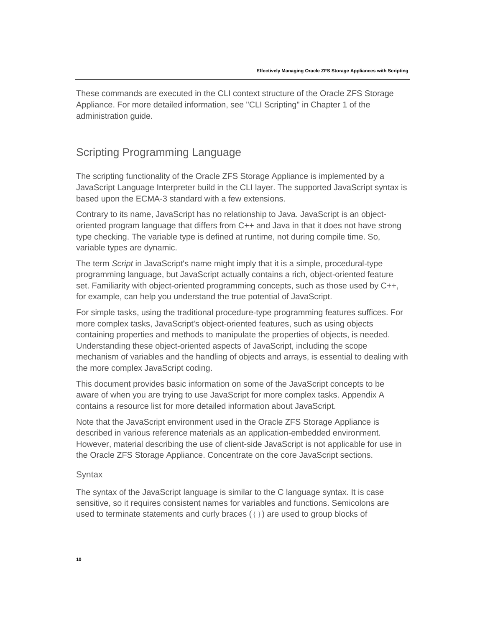These commands are executed in the CLI context structure of the Oracle ZFS Storage Appliance. For more detailed information, see "CLI Scripting" in Chapter 1 of the administration guide.

## Scripting Programming Language

The scripting functionality of the Oracle ZFS Storage Appliance is implemented by a JavaScript Language Interpreter build in the CLI layer. The supported JavaScript syntax is based upon the ECMA-3 standard with a few extensions.

Contrary to its name, JavaScript has no relationship to Java. JavaScript is an objectoriented program language that differs from C++ and Java in that it does not have strong type checking. The variable type is defined at runtime, not during compile time. So, variable types are dynamic.

The term *Script* in JavaScript's name might imply that it is a simple, procedural-type programming language, but JavaScript actually contains a rich, object-oriented feature set. Familiarity with object-oriented programming concepts, such as those used by C++, for example, can help you understand the true potential of JavaScript.

For simple tasks, using the traditional procedure-type programming features suffices. For more complex tasks, JavaScript's object-oriented features, such as using objects containing properties and methods to manipulate the properties of objects, is needed. Understanding these object-oriented aspects of JavaScript, including the scope mechanism of variables and the handling of objects and arrays, is essential to dealing with the more complex JavaScript coding.

This document provides basic information on some of the JavaScript concepts to be aware of when you are trying to use JavaScript for more complex tasks. Appendix A contains a resource list for more detailed information about JavaScript.

Note that the JavaScript environment used in the Oracle ZFS Storage Appliance is described in various reference materials as an application-embedded environment. However, material describing the use of client-side JavaScript is not applicable for use in the Oracle ZFS Storage Appliance. Concentrate on the core JavaScript sections.

## **Syntax**

The syntax of the JavaScript language is similar to the C language syntax. It is case sensitive, so it requires consistent names for variables and functions. Semicolons are used to terminate statements and curly braces  $(\{\})$  are used to group blocks of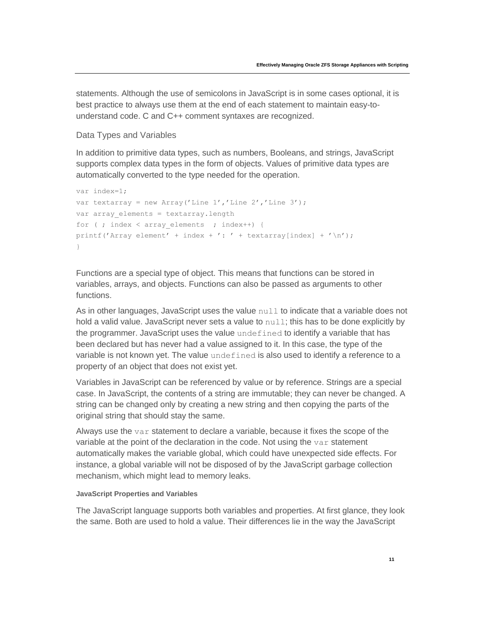statements. Although the use of semicolons in JavaScript is in some cases optional, it is best practice to always use them at the end of each statement to maintain easy-tounderstand code. C and C++ comment syntaxes are recognized.

### Data Types and Variables

In addition to primitive data types, such as numbers, Booleans, and strings, JavaScript supports complex data types in the form of objects. Values of primitive data types are automatically converted to the type needed for the operation.

```
var index=1;
var textarray = new Array('Line 1','Line 2','Line 3');
var array elements = textarray.length
for ( ; index < array elements ; index++) {
printf('Array element' + index + ': ' + textarray[index] + '\n');
}
```
Functions are a special type of object. This means that functions can be stored in variables, arrays, and objects. Functions can also be passed as arguments to other functions.

As in other languages, JavaScript uses the value null to indicate that a variable does not hold a valid value. JavaScript never sets a value to null; this has to be done explicitly by the programmer. JavaScript uses the value undefined to identify a variable that has been declared but has never had a value assigned to it. In this case, the type of the variable is not known yet. The value undefined is also used to identify a reference to a property of an object that does not exist yet.

Variables in JavaScript can be referenced by value or by reference. Strings are a special case. In JavaScript, the contents of a string are immutable; they can never be changed. A string can be changed only by creating a new string and then copying the parts of the original string that should stay the same.

Always use the  $var$  statement to declare a variable, because it fixes the scope of the variable at the point of the declaration in the code. Not using the  $var$  statement automatically makes the variable global, which could have unexpected side effects. For instance, a global variable will not be disposed of by the JavaScript garbage collection mechanism, which might lead to memory leaks.

### **JavaScript Properties and Variables**

The JavaScript language supports both variables and properties. At first glance, they look the same. Both are used to hold a value. Their differences lie in the way the JavaScript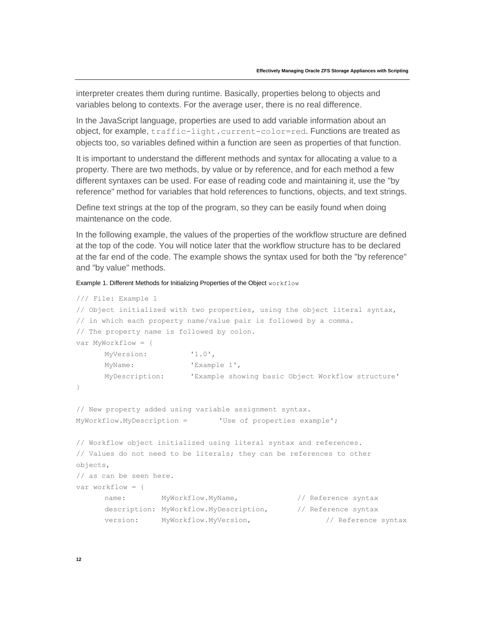interpreter creates them during runtime. Basically, properties belong to objects and variables belong to contexts. For the average user, there is no real difference.

In the JavaScript language, properties are used to add variable information about an object, for example, traffic-light.current-color=red. Functions are treated as objects too, so variables defined within a function are seen as properties of that function.

It is important to understand the different methods and syntax for allocating a value to a property. There are two methods, by value or by reference, and for each method a few different syntaxes can be used. For ease of reading code and maintaining it, use the "by reference" method for variables that hold references to functions, objects, and text strings.

Define text strings at the top of the program, so they can be easily found when doing maintenance on the code.

In the following example, the values of the properties of the workflow structure are defined at the top of the code. You will notice later that the workflow structure has to be declared at the far end of the code. The example shows the syntax used for both the "by reference" and "by value" methods.

Example 1. Different Methods for Initializing Properties of the Object workflow

```
/// File: Example 1
// Object initialized with two properties, using the object literal syntax,
// in which each property name/value pair is followed by a comma.
// The property name is followed by colon.
var MyWorkflow = {
      MyVersion: '1.0', 
      MyName: 'Example 1',
      MyDescription: 'Example showing basic Object Workflow structure' 
} 
// New property added using variable assignment syntax.
MyWorkflow.MyDescription = 'Use of properties example'; 
// Workflow object initialized using literal syntax and references.
// Values do not need to be literals; they can be references to other 
objects,
// as can be seen here. 
var workflow = { 
      name: MyWorkflow.MyName, \frac{1}{2} // Reference syntax
      description: MyWorkflow.MyDescription, \frac{1}{2} Reference syntax
      version: MyWorkflow.MyVersion, // Reference syntax
```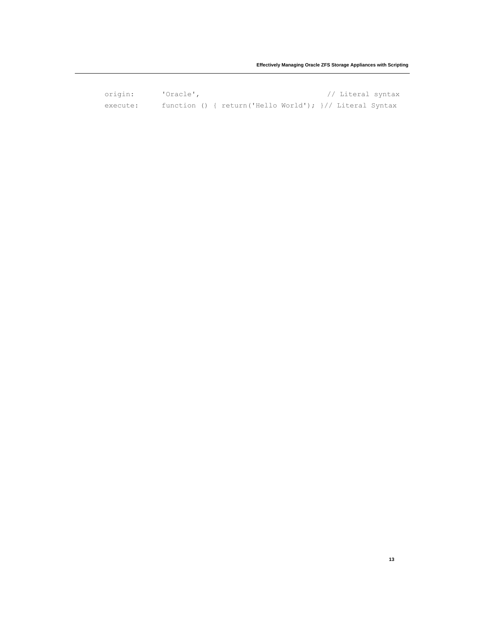origin: 'Oracle',  $\sqrt{2}$  // Literal syntax execute: function () { return('Hello World'); }// Literal Syntax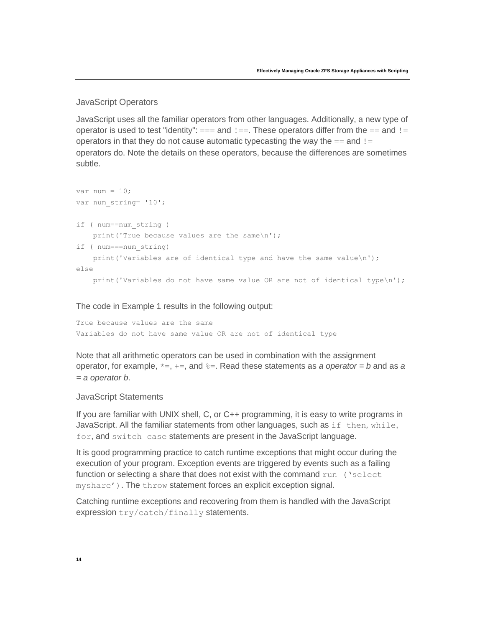JavaScript Operators

JavaScript uses all the familiar operators from other languages. Additionally, a new type of operator is used to test "identity":  $==$  and  $!=$ . These operators differ from the  $==$  and  $!=$ operators in that they do not cause automatic typecasting the way the  $==$  and  $!=$ operators do. Note the details on these operators, because the differences are sometimes subtle.

```
var num = 10;
var num string= '10';
if ( num==num_string ) 
    print('True because values are the same\n');
if ( num===num_string)
    print('Variables are of identical type and have the same value\n');
else
     print('Variables do not have same value OR are not of identical type\n');
```
### The code in Example 1 results in the following output:

True because values are the same Variables do not have same value OR are not of identical type

Note that all arithmetic operators can be used in combination with the assignment operator, for example, \*=, +=, and %=. Read these statements as *a operator = b* and as *a = a operator b*.

### JavaScript Statements

If you are familiar with UNIX shell, C, or C++ programming, it is easy to write programs in JavaScript. All the familiar statements from other languages, such as if then*,* while, for, and switch case statements are present in the JavaScript language.

It is good programming practice to catch runtime exceptions that might occur during the execution of your program. Exception events are triggered by events such as a failing function or selecting a share that does not exist with the command run ('select myshare'). The throw statement forces an explicit exception signal.

Catching runtime exceptions and recovering from them is handled with the JavaScript expression try/catch/finally statements.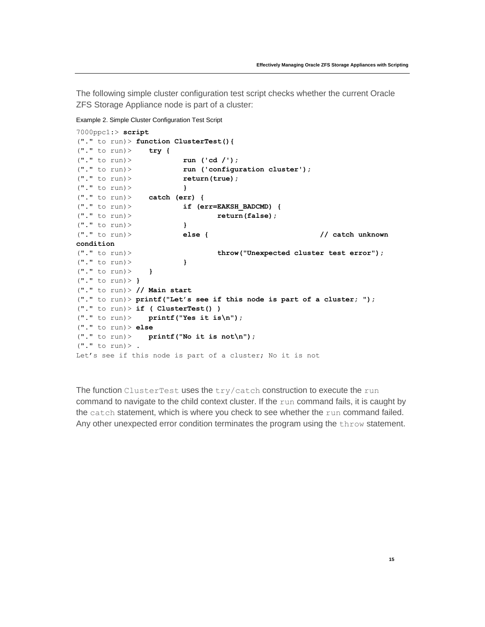The following simple cluster configuration test script checks whether the current Oracle ZFS Storage Appliance node is part of a cluster:

Example 2. Simple Cluster Configuration Test Script

```
7000ppc1:> script
("." to run)> function ClusterTest(){
("." to run)> try {
("." to run)> run ('cd /');
("." to run)> run ('configuration cluster');
("." to run)> return(true);
("." to run)> }
("." to run)> catch (err) {
("." to run)> if (err=EAKSH_BADCMD) {
("." to run)> return(false);
("." to run)> }
("." to run)> else { // catch unknown 
condition
("." to run)> throw("Unexpected cluster test error");
("." to run)> }
("." to run)> }
("." to run)> }
("." to run)> // Main start
("." to run)> printf("Let's see if this node is part of a cluster; ");
("." to run)> if ( ClusterTest() )
("." to run)> printf("Yes it is\n");
("." to run)> else
("." to run)> printf("No it is not\n");
("." to run)> .
Let's see if this node is part of a cluster; No it is not
```
The function ClusterTest uses the try/catch construction to execute the run command to navigate to the child context cluster. If the run command fails, it is caught by the catch statement, which is where you check to see whether the run command failed. Any other unexpected error condition terminates the program using the throw statement.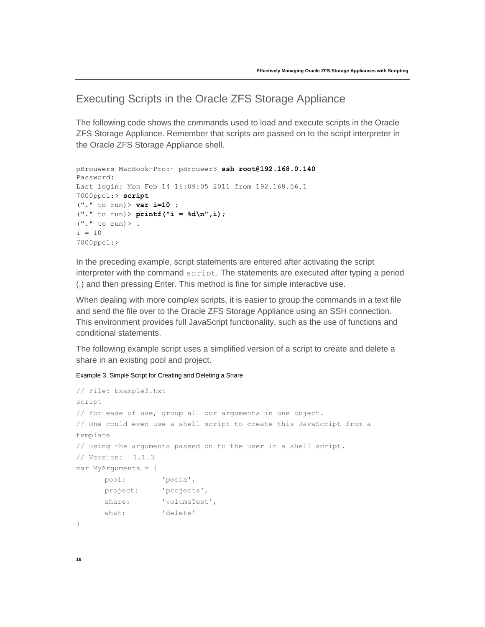## Executing Scripts in the Oracle ZFS Storage Appliance

The following code shows the commands used to load and execute scripts in the Oracle ZFS Storage Appliance. Remember that scripts are passed on to the script interpreter in the Oracle ZFS Storage Appliance shell.

```
pBrouwers MacBook-Pro:~ pBrouwer$ ssh root@192.168.0.140
Password:
Last login: Mon Feb 14 16:09:05 2011 from 192.168.56.1
7000ppc1:> script
("." to run)> var i=10 ;
("." to run)> printf("i = %d\n",i);
("." to run)> .
i = 107000ppc1:>
```
In the preceding example, script statements are entered after activating the script interpreter with the command  $script$ . The statements are executed after typing a period (.) and then pressing Enter. This method is fine for simple interactive use.

When dealing with more complex scripts, it is easier to group the commands in a text file and send the file over to the Oracle ZFS Storage Appliance using an SSH connection. This environment provides full JavaScript functionality, such as the use of functions and conditional statements.

The following example script uses a simplified version of a script to create and delete a share in an existing pool and project.

Example 3. Simple Script for Creating and Deleting a Share

```
// File: Example3.txt
script
// For ease of use, group all our arguments in one object.
// One could even use a shell script to create this JavaScript from a 
template
// using the arguments passed on to the user in a shell script.
// Version: 1.1.3
var MyArguments = {
      pool: 'poola',
      project: 'projecta',
      share: 'volumeTest',
      what: 'delete'
}
```
**16**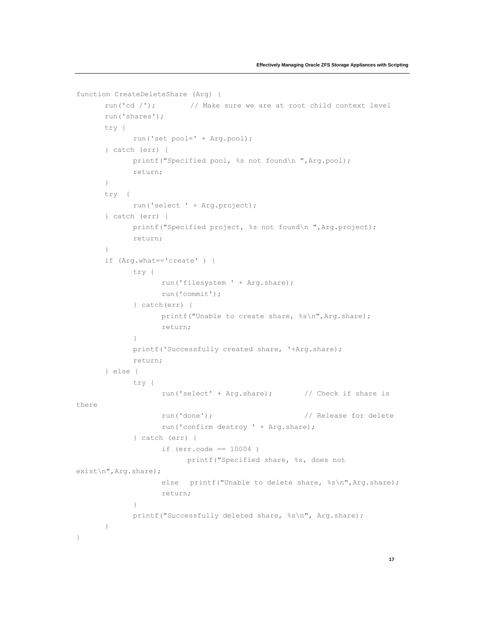```
function CreateDeleteShare (Arg) {
      run('cd /'); // Make sure we are at root child context level
      run('shares');
      try {
            run('set pool=' + Arg.pool);
      } catch (err) {
            printf("Specified pool, %s not found\n ",Arg.pool);
            return;
      }
      try {
            run('select ' + Arg.project);
      } catch (err) {
            printf("Specified project, %s not found\n ",Arg.project);
            return;
      }
      if (Arg.what=='create' ) {
            try {
                   run('filesystem ' + Arg.share);
                   run('commit');
             } catch(err) {
                   printf("Unable to create share, %s\n", Arg.share);
                   return;
             }
            printf('Successfully created share, '+Arg.share);
            return;
      } else {
             try {
                   run('select' + Arg.share); // Check if share is 
there
                   run('done'); // Release for delete
                   run('confirm destroy ' + Arg.share);
             } catch (err) {
                   if (err.code == 10004 )
                          printf("Specified share, %s, does not 
exist\n",Arg.share);
                   else printf("Unable to delete share, %s\n", Arg.share);
                   return;
            }
            printf("Successfully deleted share, %s\n", Arg.share);
      }
}
```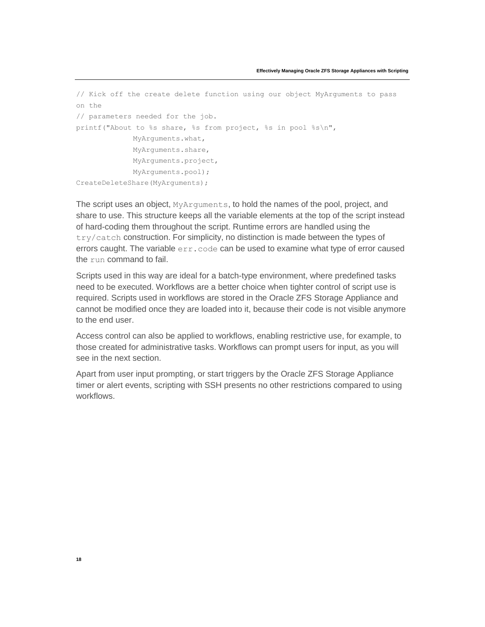```
// Kick off the create delete function using our object MyArguments to pass 
on the 
// parameters needed for the job.
printf("About to %s share, %s from project, %s in pool %s\n",
             MyArguments.what,
             MyArguments.share,
             MyArguments.project,
             MyArguments.pool);
CreateDeleteShare(MyArguments);
```
The script uses an object, MyArguments, to hold the names of the pool, project, and share to use. This structure keeps all the variable elements at the top of the script instead of hard-coding them throughout the script. Runtime errors are handled using the try/catch construction. For simplicity, no distinction is made between the types of errors caught. The variable  $err.code$  can be used to examine what type of error caused the run command to fail.

Scripts used in this way are ideal for a batch-type environment, where predefined tasks need to be executed. Workflows are a better choice when tighter control of script use is required. Scripts used in workflows are stored in the Oracle ZFS Storage Appliance and cannot be modified once they are loaded into it, because their code is not visible anymore to the end user.

Access control can also be applied to workflows, enabling restrictive use, for example, to those created for administrative tasks. Workflows can prompt users for input, as you will see in the next section.

Apart from user input prompting, or start triggers by the Oracle ZFS Storage Appliance timer or alert events, scripting with SSH presents no other restrictions compared to using workflows.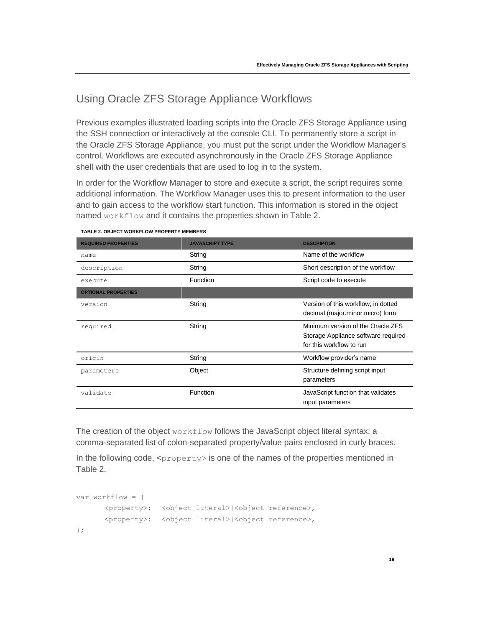## Using Oracle ZFS Storage Appliance Workflows

Previous examples illustrated loading scripts into the Oracle ZFS Storage Appliance using the SSH connection or interactively at the console CLI. To permanently store a script in the Oracle ZFS Storage Appliance, you must put the script under the Workflow Manager's control. Workflows are executed asynchronously in the Oracle ZFS Storage Appliance shell with the user credentials that are used to log in to the system.

In order for the Workflow Manager to store and execute a script, the script requires some additional information. The Workflow Manager uses this to present information to the user and to gain access to the workflow start function. This information is stored in the object named workflow and it contains the properties shown in Table 2.

| <b>REQUIRED PROPERTIES</b> | <b>JAVASCRIPT TYPE</b> | <b>DESCRIPTION</b>                                                                                   |
|----------------------------|------------------------|------------------------------------------------------------------------------------------------------|
| name                       | String                 | Name of the workflow                                                                                 |
| description                | String                 | Short description of the workflow                                                                    |
| execute                    | Function               | Script code to execute                                                                               |
| <b>OPTIONAL PROPERTIES</b> |                        |                                                                                                      |
| version                    | String                 | Version of this workflow, in dotted<br>decimal (major.minor.micro) form                              |
| required                   | String                 | Minimum version of the Oracle ZFS<br>Storage Appliance software required<br>for this workflow to run |
| origin                     | String                 | Workflow provider's name                                                                             |
| parameters                 | Object                 | Structure defining script input<br>parameters                                                        |
| validate                   | Function               | JavaScript function that validates<br>input parameters                                               |

**TABLE 2. OBJECT WORKFLOW PROPERTY MEMBERS**

The creation of the object workflow follows the JavaScript object literal syntax: a comma-separated list of colon-separated property/value pairs enclosed in curly braces.

In the following code,  $\langle$ property> is one of the names of the properties mentioned in Table 2.

```
var workflow = {
      <property>: <object literal>|<object reference>,
      <property>: <object literal>|<object reference>,
};
```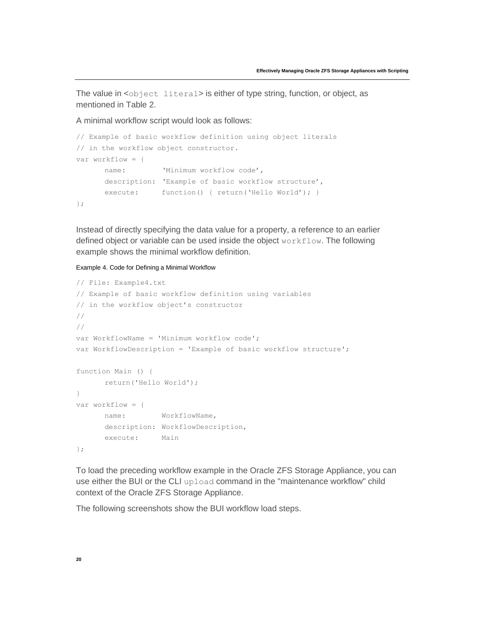The value in  $\leq$  object literal> is either of type string, function, or object, as mentioned in Table 2.

A minimal workflow script would look as follows:

```
// Example of basic workflow definition using object literals
// in the workflow object constructor.
var workflow = {
     name: 'Minimum workflow code',
      description: 'Example of basic workflow structure',
      execute: function() { return('Hello World'); }
};
```
Instead of directly specifying the data value for a property, a reference to an earlier defined object or variable can be used inside the object workflow. The following example shows the minimal workflow definition.

#### Example 4. Code for Defining a Minimal Workflow

```
// File: Example4.txt
// Example of basic workflow definition using variables
// in the workflow object's constructor
//
//
var WorkflowName = 'Minimum workflow code';
var WorkflowDescription = 'Example of basic workflow structure';
function Main () {
      return('Hello World');
}
var workflow = {
      name: WorkflowName,
      description: WorkflowDescription,
      execute: Main 
};
```
To load the preceding workflow example in the Oracle ZFS Storage Appliance, you can use either the BUI or the CLI upload command in the "maintenance workflow" child context of the Oracle ZFS Storage Appliance.

The following screenshots show the BUI workflow load steps.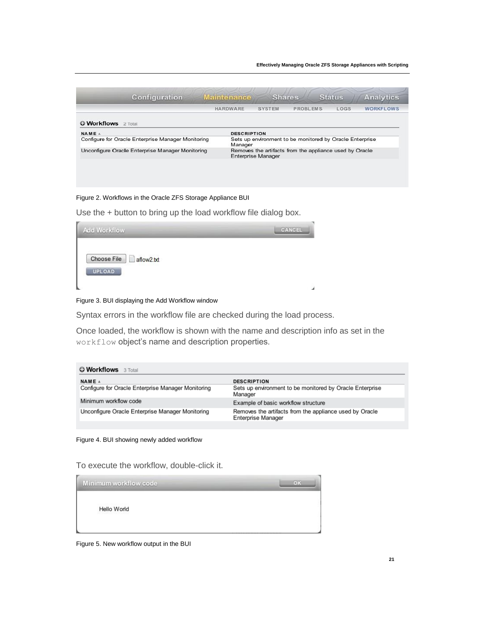|                                                    | HARDWARE           | <b>SYSTEM</b>             | <b>PROBLEMS</b>                                          | LOGS | <b>WORKFLOWS</b> |
|----------------------------------------------------|--------------------|---------------------------|----------------------------------------------------------|------|------------------|
| <b>O</b> Workflows 2 Total                         |                    |                           |                                                          |      |                  |
| NAME A                                             | <b>DESCRIPTION</b> |                           |                                                          |      |                  |
| Configure for Oracle Enterprise Manager Monitoring | Manager            |                           | Sets up environment to be monitored by Oracle Enterprise |      |                  |
| Unconfigure Oracle Enterprise Manager Monitoring   |                    | <b>Enterprise Manager</b> | Removes the artifacts from the appliance used by Oracle  |      |                  |
|                                                    |                    |                           |                                                          |      |                  |

#### Figure 2. Workflows in the Oracle ZFS Storage Appliance BUI

Use the + button to bring up the load workflow file dialog box.

| <b>Add Workflow</b>                             | CANCEL |
|-------------------------------------------------|--------|
| aflow <sub>2.txt</sub><br>Choose File<br>UPLOAD |        |
| L                                               | ٠      |

### Figure 3. BUI displaying the Add Workflow window

Syntax errors in the workflow file are checked during the load process.

Once loaded, the workflow is shown with the name and description info as set in the workflow object's name and description properties.

| <b>C Workflows</b> 3 Total                         |                                                                               |
|----------------------------------------------------|-------------------------------------------------------------------------------|
| NAME A                                             | <b>DESCRIPTION</b>                                                            |
| Configure for Oracle Enterprise Manager Monitoring | Sets up environment to be monitored by Oracle Enterprise<br>Manager           |
| Minimum workflow code                              | Example of basic workflow structure                                           |
| Unconfigure Oracle Enterprise Manager Monitoring   | Removes the artifacts from the appliance used by Oracle<br>Enterprise Manager |
|                                                    |                                                                               |

Figure 4. BUI showing newly added workflow

To execute the workflow, double-click it.

| Minimum workflow code | <b>OK</b> |
|-----------------------|-----------|
| Hello World           |           |

Figure 5. New workflow output in the BUI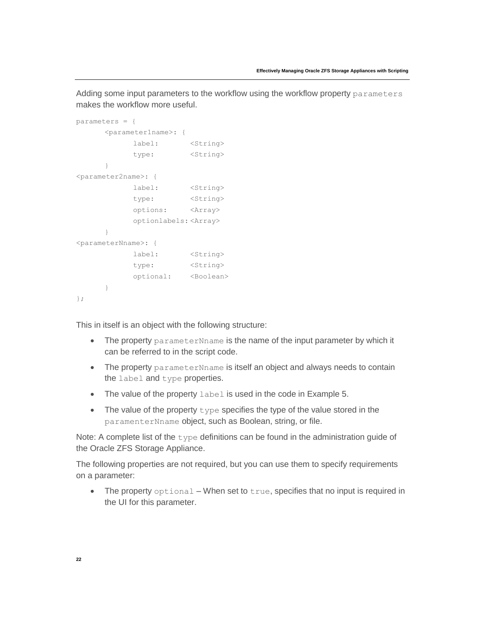Adding some input parameters to the workflow using the workflow property parameters makes the workflow more useful.

```
parameters = {
     <parameter1name>: {
          label: <String>
          type: <String>
     }
<parameter2name>: {
                     <String>
          label: <String><br>type: <String>
           options: <Array>
           optionlabels: <Array>
     }
<parameterNname>: {
          label: <String>
          type: <String>
          optional: <Boolean>
      }
};
```
This in itself is an object with the following structure:

- $\bullet$  The property parameterNname is the name of the input parameter by which it can be referred to in the script code.
- The property parameterNname is itself an object and always needs to contain the label and type properties.
- $\bullet$  The value of the property  $\text{label}$  is used in the code in Example 5.
- $\bullet$  The value of the property  $type$  specifies the type of the value stored in the paramenterNname object, such as Boolean, string, or file.

Note: A complete list of the type definitions can be found in the administration guide of the Oracle ZFS Storage Appliance.

The following properties are not required, but you can use them to specify requirements on a parameter:

• The property  $optional - When set to true, specifies that no input is required in$ the UI for this parameter.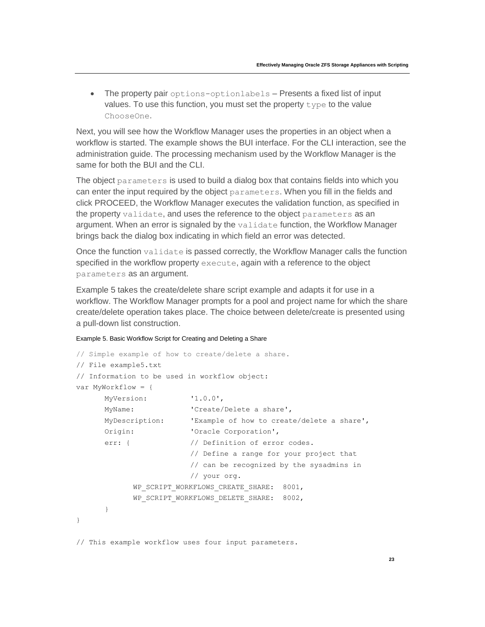$\bullet$  The property pair options-optionlabels – Presents a fixed list of input values. To use this function, you must set the property type to the value ChooseOne.

Next, you will see how the Workflow Manager uses the properties in an object when a workflow is started. The example shows the BUI interface. For the CLI interaction, see the administration guide. The processing mechanism used by the Workflow Manager is the same for both the BUI and the CLI.

The object parameters is used to build a dialog box that contains fields into which you can enter the input required by the object parameters. When you fill in the fields and click PROCEED, the Workflow Manager executes the validation function, as specified in the property validate, and uses the reference to the object parameters as an argument. When an error is signaled by the validate function, the Workflow Manager brings back the dialog box indicating in which field an error was detected.

Once the function validate is passed correctly, the Workflow Manager calls the function specified in the workflow property execute, again with a reference to the object parameters as an argument.

Example 5 takes the create/delete share script example and adapts it for use in a workflow. The Workflow Manager prompts for a pool and project name for which the share create/delete operation takes place. The choice between delete/create is presented using a pull-down list construction.

### Example 5. Basic Workflow Script for Creating and Deleting a Share

```
// Simple example of how to create/delete a share.
// File example5.txt
// Information to be used in workflow object:
var MyWorkflow = {
      MyVersion: '1.0.0',
      MyName: 'Create/Delete a share',
      MyDescription: 'Example of how to create/delete a share',
      Origin: 'Oracle Corporation',
      err: { \frac{1}{2} // Definition of error codes.
                        // Define a range for your project that
                        // can be recognized by the sysadmins in 
                        // your org.
            WP_SCRIPT_WORKFLOWS_CREATE_SHARE: 8001,
            WP_SCRIPT_WORKFLOWS_DELETE_SHARE: 8002,
      }
}
```
// This example workflow uses four input parameters.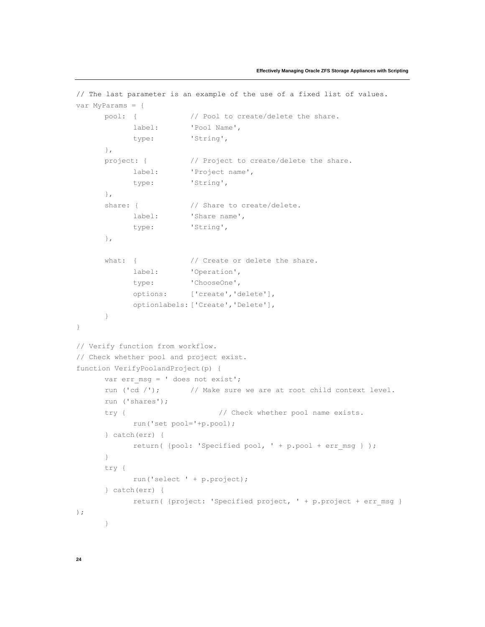```
// The last parameter is an example of the use of a fixed list of values.
var MyParams = {
      pool: { \frac{1}{2} // Pool to create/delete the share.
            label: 'Pool Name',
            type: 'String',
      },
      project: { \frac{1}{2} // Project to create/delete the share.
            label: 'Project name',
            type: 'String',
      },
      share: { \frac{1}{2} // Share to create/delete.
            label: 'Share name',
            type: 'String',
      },
      what: { \frac{1}{2} // Create or delete the share.
            label: 'Operation',
            type: 'ChooseOne',
            options: ['create','delete'],
            optionlabels: ['Create','Delete'],
      }
}
// Verify function from workflow.
// Check whether pool and project exist.
function VerifyPoolandProject(p) {
      var err msg = ' does not exist';
      run ('cd /'); // Make sure we are at root child context level.
      run ('shares');
      try { \frac{1}{2} // Check whether pool name exists.
            run('set pool='+p.pool);
      } catch(err) {
            return( {pool: 'Specificed pool, ' + p.popol + err msg } );
      }
      try {
            run('select ' + p.project);
      } catch(err) {
            return( {project: 'Specified project, ' + p.project + err_msg } 
);
      }
```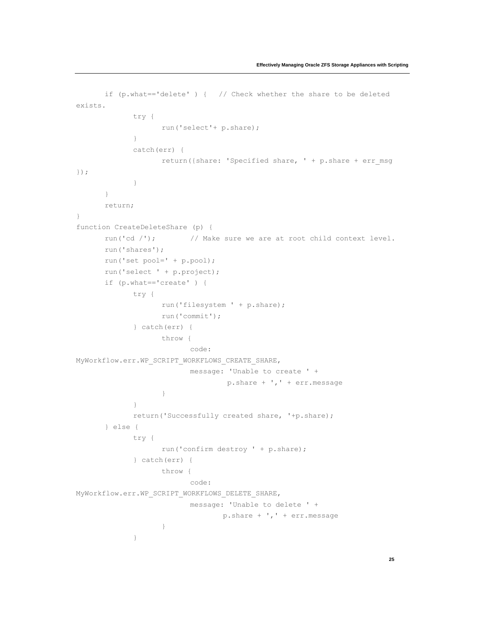```
if (p.what=='delete' ) { // Check whether the share to be deleted 
exists.
             try {
                   run('select'+ p.share);
             }
             catch(err) {
                   return({share: 'Specified share, ' + p.share + err msg
});
             }
       }
      return;
}
function CreateDeleteShare (p) {
      run('cd /'); // Make sure we are at root child context level.
      run('shares');
      run('set pool=' + p.pool);
      run('select ' + p.project);
      if (p.what=='create' ) {
             try {
                   run('filesystem ' + p.share);
                   run('commit');
             } catch(err) {
                   throw {
                          code: 
MyWorkflow.err.WP_SCRIPT_WORKFLOWS_CREATE_SHARE,
                          message: 'Unable to create ' +
                                    p.share + ',' + err.message 
                    }
             }
             return('Successfully created share, '+p.share);
       } else {
             try {
                    run('confirm destroy ' + p.share);
             } catch(err) {
                   throw {
                          code: 
MyWorkflow.err.WP_SCRIPT_WORKFLOWS_DELETE_SHARE,
                          message: 'Unable to delete ' +
                                  p.share + ',' + err.message 
                   }
             }
```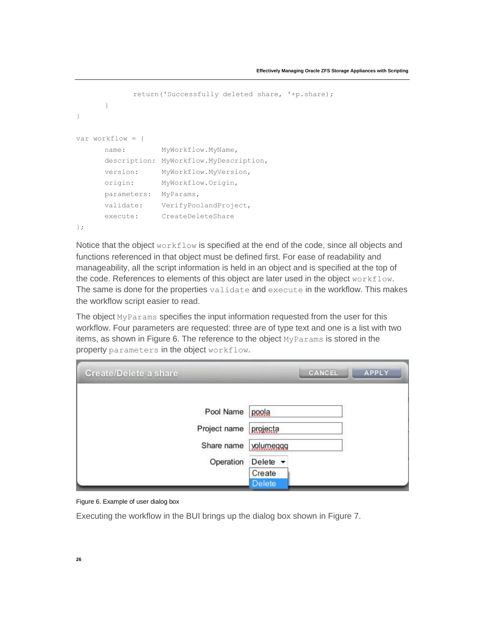```
return('Successfully deleted share, '+p.share);
      }
}
var workflow = {
     name: MyWorkflow.MyName,
      description: MyWorkflow.MyDescription,
      version: MyWorkflow.MyVersion,
      origin: MyWorkflow.Origin,
      parameters: MyParams,
      validate: VerifyPoolandProject,
      execute: CreateDeleteShare
};
```
Notice that the object workflow is specified at the end of the code, since all objects and functions referenced in that object must be defined first. For ease of readability and manageability, all the script information is held in an object and is specified at the top of the code. References to elements of this object are later used in the object workflow. The same is done for the properties validate and execute in the workflow. This makes the workflow script easier to read.

The object MyParams specifies the input information requested from the user for this workflow. Four parameters are requested: three are of type text and one is a list with two items, as shown in Figure 6. The reference to the object MyParams is stored in the property parameters in the object workflow.

| <b>Create/Delete a share</b> | CANCEL<br><b>APPLY</b> |
|------------------------------|------------------------|
| Pool Name                    | poola                  |
| Project name                 | projecta               |
| Share name                   | volumeggg              |
| Operation                    | Delete -               |
|                              | Create<br>Delete       |

Figure 6. Example of user dialog box

Executing the workflow in the BUI brings up the dialog box shown in Figure 7.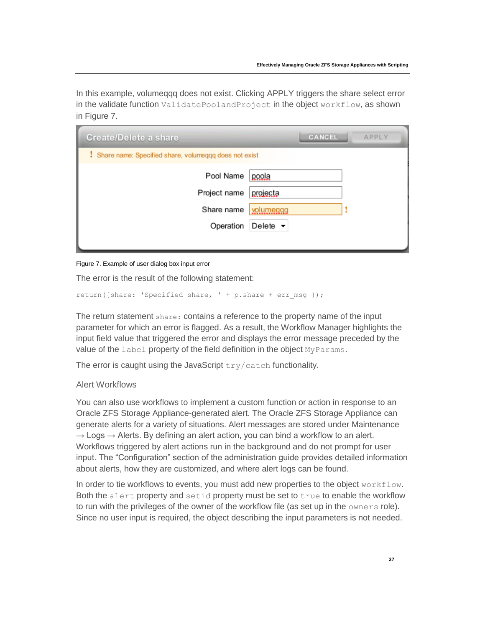In this example, volumeqqq does not exist. Clicking APPLY triggers the share select error in the validate function ValidatePoolandProject in the object workflow, as shown in Figure 7.

| <b>Create/Delete a share</b>                            | CANCEL<br>APPLY              |  |
|---------------------------------------------------------|------------------------------|--|
| ! Share name: Specified share, volumeqqq does not exist |                              |  |
| Pool Name                                               | poola                        |  |
| Project name                                            | projecta                     |  |
| Share name                                              | volumeggg                    |  |
| Operation                                               | Delete $\blacktriangleright$ |  |
|                                                         |                              |  |

### Figure 7. Example of user dialog box input error

The error is the result of the following statement:

return({share: 'Specified share, ' + p.share + err msg });

The return statement share: contains a reference to the property name of the input parameter for which an error is flagged. As a result, the Workflow Manager highlights the input field value that triggered the error and displays the error message preceded by the value of the label property of the field definition in the object MyParams.

The error is caught using the JavaScript  $try/catch$  functionality.

### Alert Workflows

You can also use workflows to implement a custom function or action in response to an Oracle ZFS Storage Appliance-generated alert. The Oracle ZFS Storage Appliance can generate alerts for a variety of situations. Alert messages are stored under Maintenance  $\rightarrow$  Logs  $\rightarrow$  Alerts. By defining an alert action, you can bind a workflow to an alert. Workflows triggered by alert actions run in the background and do not prompt for user input. The "Configuration" section of the administration guide provides detailed information about alerts, how they are customized, and where alert logs can be found.

In order to tie workflows to events, you must add new properties to the object workflow. Both the alert property and setid property must be set to true to enable the workflow to run with the privileges of the owner of the workflow file (as set up in the owners role). Since no user input is required, the object describing the input parameters is not needed.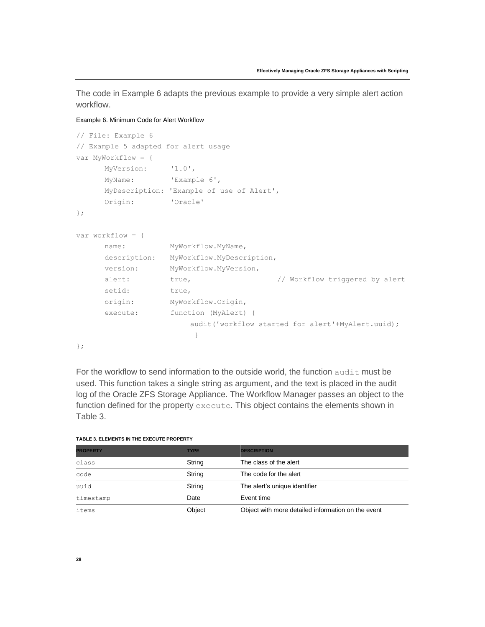The code in Example 6 adapts the previous example to provide a very simple alert action workflow.

```
Example 6. Minimum Code for Alert Workflow
```

```
// File: Example 6
// Example 5 adapted for alert usage 
var MyWorkflow = {
        MyVersion: '1.0',
        MyName: 'Example 6',
        MyDescription: 'Example of use of Alert',
        Origin: 'Oracle'
}; 
var workflow = { 
        name: MyWorkflow.MyName,
        description: MyWorkflow.MyDescription, 
        version: MyWorkflow.MyVersion,
        alert: true, \frac{1}{2} true, \frac{1}{2} alert \frac{1}{2} alert \frac{1}{2} alert \frac{1}{2} true, \frac{1}{2} and \frac{1}{2} alert \frac{1}{2} alert \frac{1}{2} alert \frac{1}{2} alert \frac{1}{2} alert \frac{1}{2} alert \frac{1}{2} alert \fracsetid: true,
        origin: MyWorkflow.Origin, 
        execute: function (MyAlert) { 
                                 audit('workflow started for alert'+MyAlert.uuid);
                                  } 
};
```
For the workflow to send information to the outside world, the function audit must be used. This function takes a single string as argument, and the text is placed in the audit log of the Oracle ZFS Storage Appliance. The Workflow Manager passes an object to the function defined for the property execute*.* This object contains the elements shown in Table 3.

| <b>PROPERTY</b> | <b>TYPE</b> | <b>DESCRIPTION</b>                                 |  |
|-----------------|-------------|----------------------------------------------------|--|
| class           | String      | The class of the alert                             |  |
| code            | String      | The code for the alert                             |  |
| uuid            | String      | The alert's unique identifier                      |  |
| timestamp       | Date        | Event time                                         |  |
| items           | Object      | Object with more detailed information on the event |  |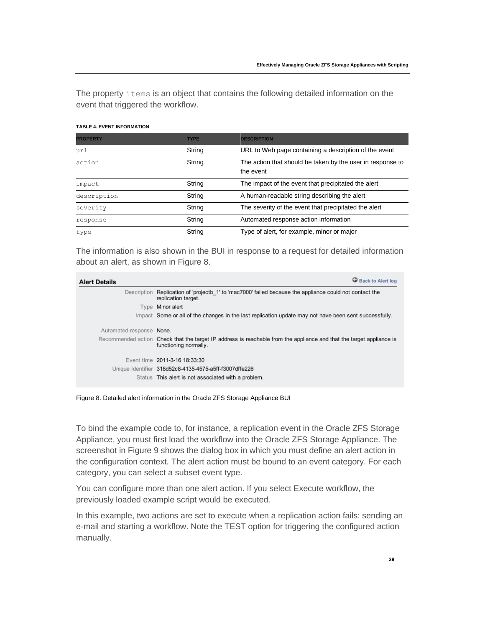The property items is an object that contains the following detailed information on the event that triggered the workflow.

|  | <b>TABLE 4. EVENT INFORMATION</b> |  |  |  |
|--|-----------------------------------|--|--|--|
|--|-----------------------------------|--|--|--|

| <b>PROPERTY</b> | <b>TYPE</b> | <b>DESCRIPTION</b>                                                      |
|-----------------|-------------|-------------------------------------------------------------------------|
| url             | String      | URL to Web page containing a description of the event                   |
| action          | String      | The action that should be taken by the user in response to<br>the event |
| impact          | String      | The impact of the event that precipitated the alert                     |
| description     | String      | A human-readable string describing the alert                            |
| severity        | String      | The severity of the event that precipitated the alert                   |
| response        | String      | Automated response action information                                   |
| type            | String      | Type of alert, for example, minor or major                              |

The information is also shown in the BUI in response to a request for detailed information about an alert, as shown in Figure 8.

| <b>Alert Details</b>     | G Back to Alert log                                                                                                                           |
|--------------------------|-----------------------------------------------------------------------------------------------------------------------------------------------|
|                          | Description Replication of 'projectb 1' to 'mac7000' failed because the appliance could not contact the<br>replication target.                |
|                          | Type Minor alert                                                                                                                              |
|                          | Impact Some or all of the changes in the last replication update may not have been sent successfully.                                         |
|                          |                                                                                                                                               |
| Automated response None. |                                                                                                                                               |
|                          | Recommended action Check that the target IP address is reachable from the appliance and that the target appliance is<br>functioning normally. |
|                          | Event time 2011-3-16 18:33:30                                                                                                                 |
|                          | Unique Identifier 318d52c8-4135-4575-a5ff-f3007dffe226                                                                                        |
|                          | Status This alert is not associated with a problem.                                                                                           |

Figure 8. Detailed alert information in the Oracle ZFS Storage Appliance BUI

To bind the example code to, for instance, a replication event in the Oracle ZFS Storage Appliance, you must first load the workflow into the Oracle ZFS Storage Appliance. The screenshot in Figure 9 shows the dialog box in which you must define an alert action in the configuration context*.* The alert action must be bound to an event category. For each category, you can select a subset event type.

You can configure more than one alert action. If you select Execute workflow, the previously loaded example script would be executed.

In this example, two actions are set to execute when a replication action fails: sending an e-mail and starting a workflow. Note the TEST option for triggering the configured action manually.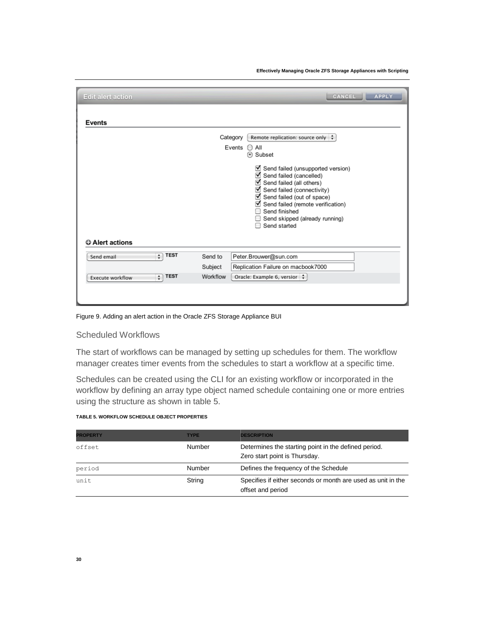#### **Effectively Managing Oracle ZFS Storage Appliances with Scripting**

| <b>Edit alert action</b>                       | CANCEL<br><b>APPLY</b>                                                                                                                                                                                                                                                |
|------------------------------------------------|-----------------------------------------------------------------------------------------------------------------------------------------------------------------------------------------------------------------------------------------------------------------------|
| Events                                         |                                                                                                                                                                                                                                                                       |
|                                                | Category<br>Remote replication: source only $\div$<br>Events<br>$\bigcirc$ ail                                                                                                                                                                                        |
|                                                | ⊙ Subset                                                                                                                                                                                                                                                              |
| C Alert actions                                | ■ Send failed (unsupported version)<br>Send failed (cancelled)<br>Send failed (all others)<br>⊽<br>Send failed (connectivity)<br>Send failed (out of space)<br>■ Send failed (remote verification)<br>Send finished<br>Send skipped (already running)<br>Send started |
| <b>TEST</b><br>$\div$<br>Send email            | Send to<br>Peter.Brouwer@sun.com                                                                                                                                                                                                                                      |
|                                                | Replication Failure on macbook7000<br>Subject                                                                                                                                                                                                                         |
| $\binom{1}{r}$ TEST<br><b>Execute workflow</b> | Workflow<br>Oracle: Example 6, versior $\div$                                                                                                                                                                                                                         |
|                                                |                                                                                                                                                                                                                                                                       |

Figure 9. Adding an alert action in the Oracle ZFS Storage Appliance BUI

### Scheduled Workflows

The start of workflows can be managed by setting up schedules for them. The workflow manager creates timer events from the schedules to start a workflow at a specific time.

Schedules can be created using the CLI for an existing workflow or incorporated in the workflow by defining an array type object named schedule containing one or more entries using the structure as shown in table 5.

### **TABLE 5. WORKFLOW SCHEDULE OBJECT PROPERTIES**

| <b>PROPERTY</b> | <b>TYPE</b> | <b>DESCRIPTION</b>                                                                    |
|-----------------|-------------|---------------------------------------------------------------------------------------|
| offset          | Number      | Determines the starting point in the defined period.<br>Zero start point is Thursday. |
| period          | Number      | Defines the frequency of the Schedule                                                 |
| unit            | String      | Specifies if either seconds or month are used as unit in the<br>offset and period     |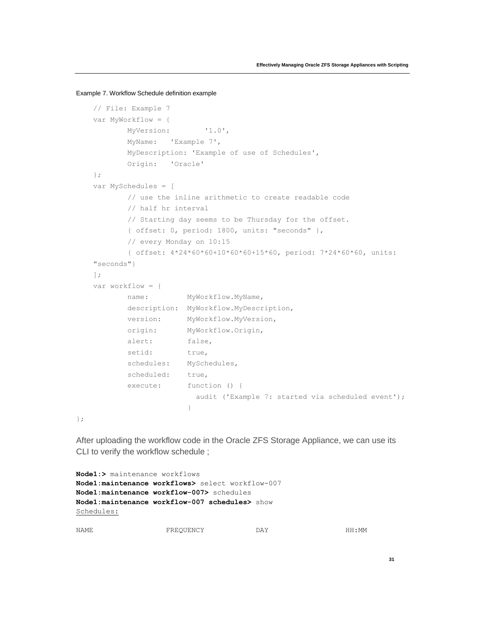#### Example 7. Workflow Schedule definition example

```
// File: Example 7
var MyWorkflow = { 
       MyVersion: '1.0',
        MyName: 'Example 7',
        MyDescription: 'Example of use of Schedules',
        Origin: 'Oracle'
};
var MySchedules = [
        // use the inline arithmetic to create readable code
        // half hr interval
        // Starting day seems to be Thursday for the offset.
        { offset: 0, period: 1800, units: "seconds" },
        // every Monday on 10:15
        { offset: 4*24*60*60+10*60*60+15*60, period: 7*24*60*60, units: 
"seconds"}
];
var workflow = {
       name: MyWorkflow.MyName,
        description: MyWorkflow.MyDescription,
        version: MyWorkflow.MyVersion,
        origin: MyWorkflow.Origin,
        alert: false,
       setid: true,
        schedules: MySchedules,
        scheduled: true,
        execute: function () {
                       audit ('Example 7: started via scheduled event');
 }
```
};

After uploading the workflow code in the Oracle ZFS Storage Appliance, we can use its CLI to verify the workflow schedule ;

```
Node1:> maintenance workflows
Node1:maintenance workflows> select workflow-007
Node1:maintenance workflow-007> schedules
Node1:maintenance workflow-007 schedules> show
Schedules:
```

| <b>NAME</b> | FREQUENCY | DAY | HH: MM |
|-------------|-----------|-----|--------|
|             |           |     |        |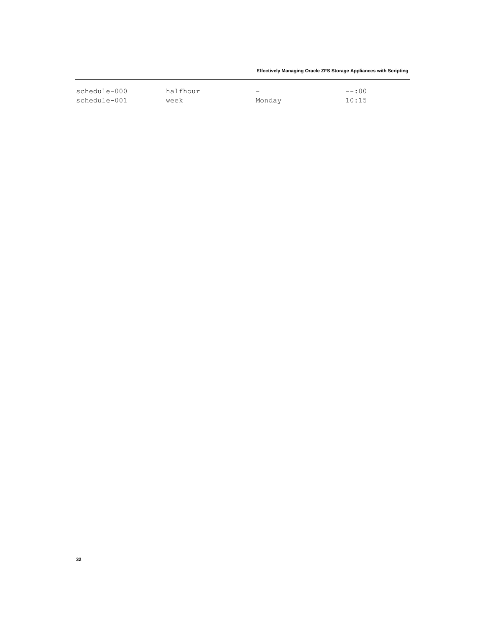#### **Effectively Managing Oracle ZFS Storage Appliances with Scripting**

| schedule-000 | halfhour | -      | $--:00$ |
|--------------|----------|--------|---------|
| schedule-001 | week     | Monday | 10:15   |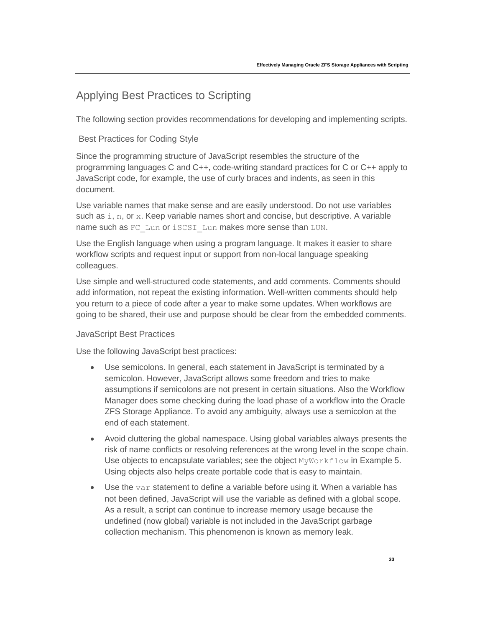## Applying Best Practices to Scripting

The following section provides recommendations for developing and implementing scripts.

## Best Practices for Coding Style

Since the programming structure of JavaScript resembles the structure of the programming languages C and C++, code-writing standard practices for C or C++ apply to JavaScript code, for example, the use of curly braces and indents, as seen in this document.

Use variable names that make sense and are easily understood. Do not use variables such as  $i$ ,  $n$ , or  $x$ . Keep variable names short and concise, but descriptive. A variable name such as FC Lun or iSCSI Lun makes more sense than LUN.

Use the English language when using a program language. It makes it easier to share workflow scripts and request input or support from non-local language speaking colleagues.

Use simple and well-structured code statements, and add comments. Comments should add information, not repeat the existing information. Well-written comments should help you return to a piece of code after a year to make some updates. When workflows are going to be shared, their use and purpose should be clear from the embedded comments.

## JavaScript Best Practices

Use the following JavaScript best practices:

- Use semicolons. In general, each statement in JavaScript is terminated by a semicolon. However, JavaScript allows some freedom and tries to make assumptions if semicolons are not present in certain situations. Also the Workflow Manager does some checking during the load phase of a workflow into the Oracle ZFS Storage Appliance. To avoid any ambiguity, always use a semicolon at the end of each statement.
- Avoid cluttering the global namespace. Using global variables always presents the risk of name conflicts or resolving references at the wrong level in the scope chain. Use objects to encapsulate variables; see the object MyWorkflow in Example 5. Using objects also helps create portable code that is easy to maintain.
- Use the var statement to define a variable before using it. When a variable has not been defined, JavaScript will use the variable as defined with a global scope. As a result, a script can continue to increase memory usage because the undefined (now global) variable is not included in the JavaScript garbage collection mechanism. This phenomenon is known as memory leak.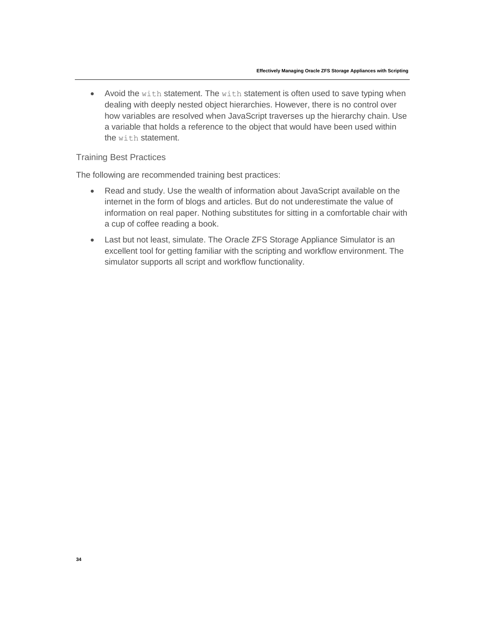• Avoid the  $with$  statement. The with statement is often used to save typing when dealing with deeply nested object hierarchies. However, there is no control over how variables are resolved when JavaScript traverses up the hierarchy chain. Use a variable that holds a reference to the object that would have been used within the with statement.

### Training Best Practices

The following are recommended training best practices:

- Read and study. Use the wealth of information about JavaScript available on the internet in the form of blogs and articles. But do not underestimate the value of information on real paper. Nothing substitutes for sitting in a comfortable chair with a cup of coffee reading a book.
- Last but not least, simulate. The Oracle ZFS Storage Appliance Simulator is an excellent tool for getting familiar with the scripting and workflow environment. The simulator supports all script and workflow functionality.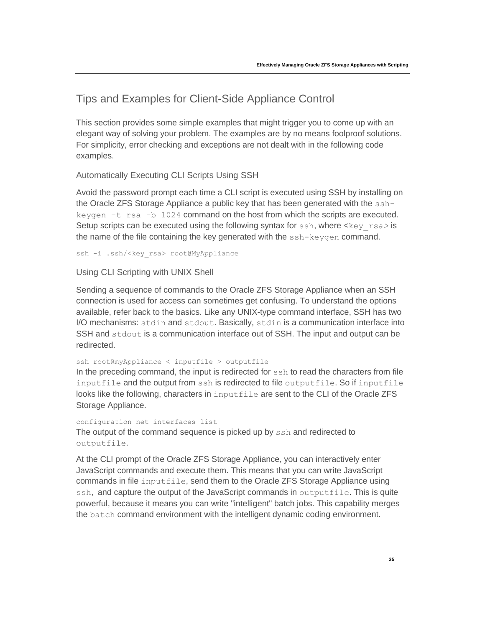## Tips and Examples for Client-Side Appliance Control

This section provides some simple examples that might trigger you to come up with an elegant way of solving your problem. The examples are by no means foolproof solutions. For simplicity, error checking and exceptions are not dealt with in the following code examples.

Automatically Executing CLI Scripts Using SSH

Avoid the password prompt each time a CLI script is executed using SSH by installing on the Oracle ZFS Storage Appliance a public key that has been generated with the sshkeygen -t rsa -b 1024 command on the host from which the scripts are executed. Setup scripts can be executed using the following syntax for ssh, where <key rsa> is the name of the file containing the key generated with the ssh-keygen command.

ssh -i .ssh/<key rsa> root@MyAppliance

Using CLI Scripting with UNIX Shell

Sending a sequence of commands to the Oracle ZFS Storage Appliance when an SSH connection is used for access can sometimes get confusing. To understand the options available, refer back to the basics. Like any UNIX-type command interface, SSH has two I/O mechanisms: stdin and stdout. Basically, stdin is a communication interface into SSH and stdout is a communication interface out of SSH. The input and output can be redirected.

ssh root@myAppliance < inputfile > outputfile

In the preceding command, the input is redirected for ssh to read the characters from file inputfile and the output from ssh is redirected to file outputfile. So if inputfile looks like the following, characters in inputfile are sent to the CLI of the Oracle ZFS Storage Appliance.

configuration net interfaces list

The output of the command sequence is picked up by ssh and redirected to outputfile.

At the CLI prompt of the Oracle ZFS Storage Appliance, you can interactively enter JavaScript commands and execute them. This means that you can write JavaScript commands in file inputfile, send them to the Oracle ZFS Storage Appliance using ssh, and capture the output of the JavaScript commands in outputfile. This is quite powerful, because it means you can write "intelligent" batch jobs. This capability merges the batch command environment with the intelligent dynamic coding environment.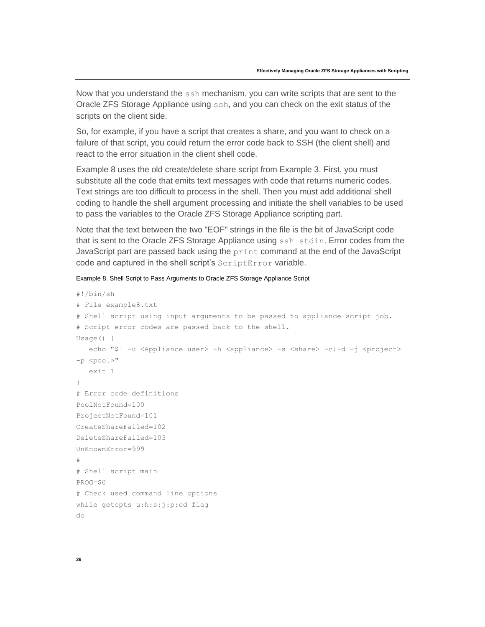Now that you understand the ssh mechanism, you can write scripts that are sent to the Oracle ZFS Storage Appliance using ssh, and you can check on the exit status of the scripts on the client side.

So, for example, if you have a script that creates a share, and you want to check on a failure of that script, you could return the error code back to SSH (the client shell) and react to the error situation in the client shell code.

Example 8 uses the old create/delete share script from Example 3. First, you must substitute all the code that emits text messages with code that returns numeric codes. Text strings are too difficult to process in the shell. Then you must add additional shell coding to handle the shell argument processing and initiate the shell variables to be used to pass the variables to the Oracle ZFS Storage Appliance scripting part.

Note that the text between the two "EOF" strings in the file is the bit of JavaScript code that is sent to the Oracle ZFS Storage Appliance using ssh stdin. Error codes from the JavaScript part are passed back using the  $print$  command at the end of the JavaScript code and captured in the shell script's ScriptError variable.

### Example 8. Shell Script to Pass Arguments to Oracle ZFS Storage Appliance Script

```
#!/bin/sh
# File example8.txt
# Shell script using input arguments to be passed to appliance script job.
# Script error codes are passed back to the shell.
Usage() {
  echo "$1 -u <Appliance user> -h <appliance> -s <share> -c|-d -j <project>
-p <pool>"
   exit 1 
}
# Error code definitions
PoolNotFound=100
ProjectNotFound=101
CreateShareFailed=102
DeleteShareFailed=103
UnKnownError=999
#
# Shell script main
PROG=$0
# Check used command line options
while getopts u:h:s:j:p:cd flag
do
```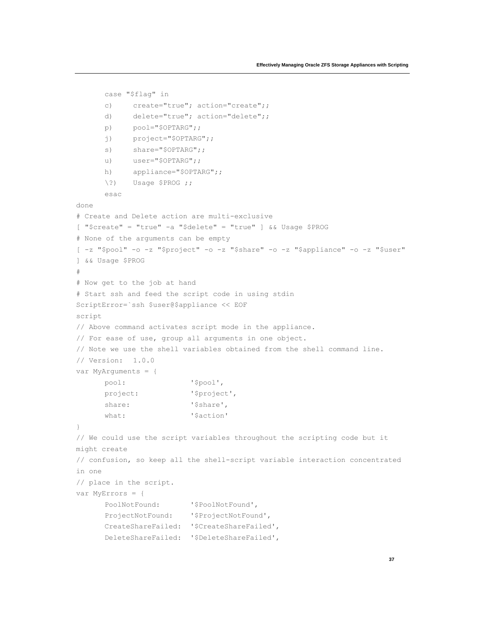```
case "$flag" in
      c) create="true"; action="create";;
      d) delete="true"; action="delete";;
      p) pool="$OPTARG";;
      j) project="$OPTARG";;
      s) share="$OPTARG";;
      u) user="$OPTARG";;
      h) appliance="$OPTARG";;
      \?) Usage $PROG ;;
      esac
done
# Create and Delete action are multi-exclusive
[ "$create" = "true" -a "$delete" = "true" ] && Usage $PROG 
# None of the arguments can be empty
[ -z "$pool" -o -z "$project" -o -z "$share" -o -z "$appliance" -o -z "$user" 
] && Usage $PROG
#
# Now get to the job at hand
# Start ssh and feed the script code in using stdin
ScriptError=`ssh $user@$appliance << EOF
script
// Above command activates script mode in the appliance.
// For ease of use, group all arguments in one object.
// Note we use the shell variables obtained from the shell command line.
// Version: 1.0.0
var MyArguments = {
      pool: '$pool',
      project: '$project',
      share: '$share',
      what: '$action'
}
// We could use the script variables throughout the scripting code but it 
might create
// confusion, so keep all the shell-script variable interaction concentrated 
in one 
// place in the script.
var MyErrors = {
      PoolNotFound: '$PoolNotFound',
      ProjectNotFound: '$ProjectNotFound',
      CreateShareFailed: '$CreateShareFailed',
      DeleteShareFailed: '$DeleteShareFailed',
```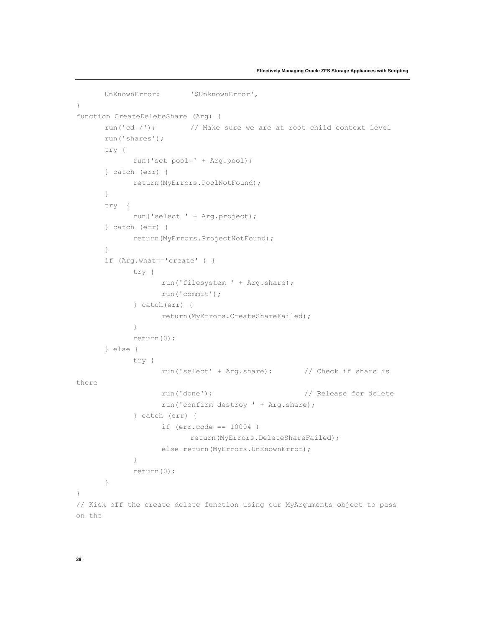```
UnKnownError: '$UnknownError',
}
function CreateDeleteShare (Arg) {
      run('cd /'); // Make sure we are at root child context level
      run('shares');
      try {
            run('set pool=' + Arg.pool);
      } catch (err) {
           return(MyErrors.PoolNotFound);
      }
      try {
            run('select ' + Arg.project);
      } catch (err) {
            return(MyErrors.ProjectNotFound);
      }
      if (Arg.what=='create' ) {
            try {
                  run('filesystem ' + Arg.share);
                   run('commit');
             } catch(err) {
                  return(MyErrors.CreateShareFailed);
            }
            return(0);
      } else {
            try {
                   run('select' + Arg.share); // Check if share is 
there
                   run('done'); // Release for delete
                   run('confirm destroy ' + Arg.share);
             } catch (err) {
                   if (err.code == 10004)return(MyErrors.DeleteShareFailed);
                   else return(MyErrors.UnKnownError);
             }
            return(0);
      }
}
// Kick off the create delete function using our MyArguments object to pass 
on the
```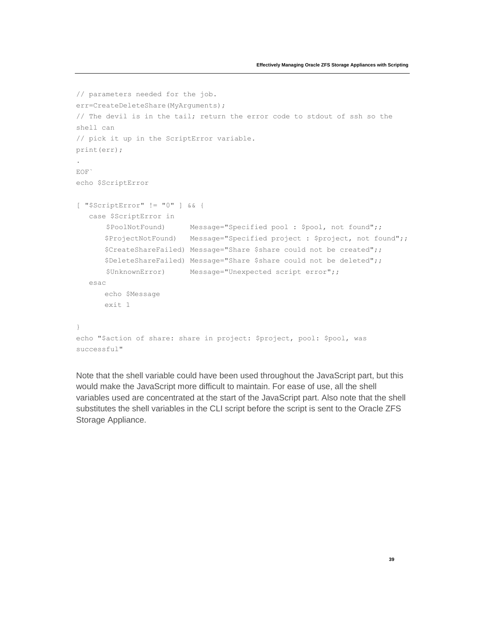```
// parameters needed for the job.
err=CreateDeleteShare(MyArguments);
// The devil is in the tail; return the error code to stdout of ssh so the 
shell can 
// pick it up in the ScriptError variable.
print(err);
.
EOF`
echo $ScriptError
[ "$ScriptError" != "0" ] && {
    case $ScriptError in
       $PoolNotFound) Message="Specified pool : $pool, not found";;
      $ProjectNotFound) Message="Specified project : $project, not found";;
      $CreateShareFailed) Message="Share $share could not be created";;
      $DeleteShareFailed) Message="Share $share could not be deleted";;
        $UnknownError) Message="Unexpected script error";;
    esac
      echo $Message
      exit 1
}
echo "$action of share: share in project: $project, pool: $pool, was
successful"
```
Note that the shell variable could have been used throughout the JavaScript part, but this would make the JavaScript more difficult to maintain. For ease of use, all the shell variables used are concentrated at the start of the JavaScript part. Also note that the shell substitutes the shell variables in the CLI script before the script is sent to the Oracle ZFS Storage Appliance.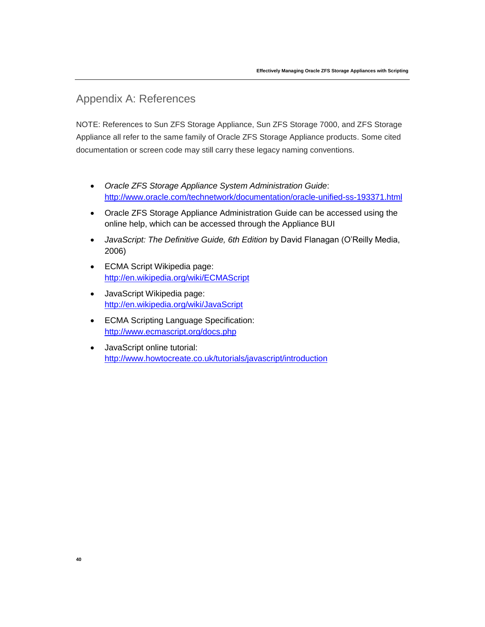## Appendix A: References

NOTE: References to Sun ZFS Storage Appliance, Sun ZFS Storage 7000, and ZFS Storage Appliance all refer to the same family of Oracle ZFS Storage Appliance products. Some cited documentation or screen code may still carry these legacy naming conventions.

- *Oracle ZFS Storage Appliance System Administration Guide*: <http://www.oracle.com/technetwork/documentation/oracle-unified-ss-193371.html>
- Oracle ZFS Storage Appliance Administration Guide can be accessed using the online help, which can be accessed through the Appliance BUI
- *JavaScript: The Definitive Guide, 6th Edition* by David Flanagan (O'Reilly Media, 2006)
- ECMA Script Wikipedia page: <http://en.wikipedia.org/wiki/ECMAScript>
- JavaScript Wikipedia page: <http://en.wikipedia.org/wiki/JavaScript>
- ECMA Scripting Language Specification: <http://www.ecmascript.org/docs.php>
- JavaScript online tutorial: <http://www.howtocreate.co.uk/tutorials/javascript/introduction>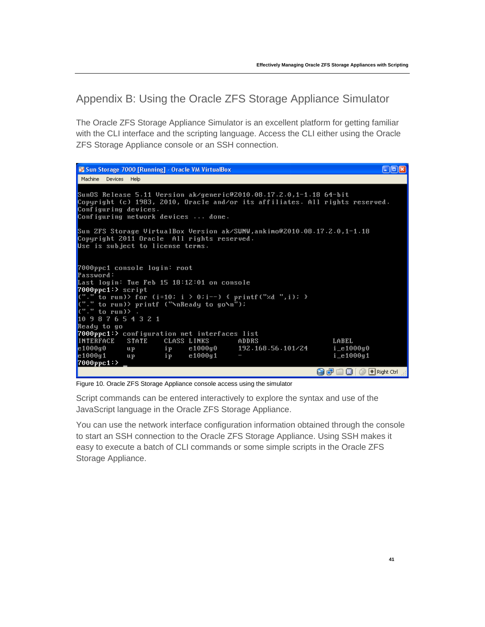## Appendix B: Using the Oracle ZFS Storage Appliance Simulator

The Oracle ZFS Storage Appliance Simulator is an excellent platform for getting familiar with the CLI interface and the scripting language. Access the CLI either using the Oracle ZFS Storage Appliance console or an SSH connection.

| Sun Storage 7000 [Running] - Oracle VM VirtualBox                                                                                                                                                                                                                                                      |              |                                                                                                                                                    | $-  D  x$                                |
|--------------------------------------------------------------------------------------------------------------------------------------------------------------------------------------------------------------------------------------------------------------------------------------------------------|--------------|----------------------------------------------------------------------------------------------------------------------------------------------------|------------------------------------------|
| Machine<br>Devices Help                                                                                                                                                                                                                                                                                |              |                                                                                                                                                    |                                          |
| Configuring devices.<br>Configuring network devices $\cdots$ done.                                                                                                                                                                                                                                     |              | SunOS Release 5.11 Version ak/generic@2010.08.17.2.0,1-1.18 64-bit<br>Copyright (c) 1983, 2010, Oracle and/or its affiliates. All rights reserved. |                                          |
| Sun ZFS Storage VirtualBox Version ak⁄SUNW,ankimo@2010.08.17.2.0,1-1.18<br>Copyright 2011 Oracle All rights reserved.<br>Use is subject to license terms.                                                                                                                                              |              |                                                                                                                                                    |                                          |
| 7000ppc1 console login: root<br>Password:<br>Last login: Tue Feb $15$ $18:12:01$ on console<br>$7000$ ppc1: $>$ script<br>$('''.''$ to run)> for (i=10; i > 0;i--) { printf("zd ",i); }<br>$($ "." to run)> printf $($ "\nReady to go\n");<br>$($ "." to run)>.<br>10 9 8 7 6 5 4 3 2 1<br>Ready to go |              |                                                                                                                                                    |                                          |
| 7000ppc1:> configuration net interfaces list                                                                                                                                                                                                                                                           |              |                                                                                                                                                    |                                          |
| <b>INTERFACE</b><br><b>STATE</b><br>e1000g0<br>u p                                                                                                                                                                                                                                                     | CLASS LINKS  | ADDRS<br>ip e1000g0 192.168.56.101/24                                                                                                              | <b>LABEL</b><br>$i$ <sub>-e</sub> 1000g0 |
| e1000q1<br>$\mathbf{u} \mathbf{p}$<br>$7000$ ppc1:>                                                                                                                                                                                                                                                    | $ip$ e1000g1 |                                                                                                                                                    | $i$ <sub>-e</sub> 1000q1                 |
|                                                                                                                                                                                                                                                                                                        |              |                                                                                                                                                    | SD □ □ ◎ ● Right Ctrl                    |

Figure 10. Oracle ZFS Storage Appliance console access using the simulator

Script commands can be entered interactively to explore the syntax and use of the JavaScript language in the Oracle ZFS Storage Appliance.

You can use the network interface configuration information obtained through the console to start an SSH connection to the Oracle ZFS Storage Appliance. Using SSH makes it easy to execute a batch of CLI commands or some simple scripts in the Oracle ZFS Storage Appliance.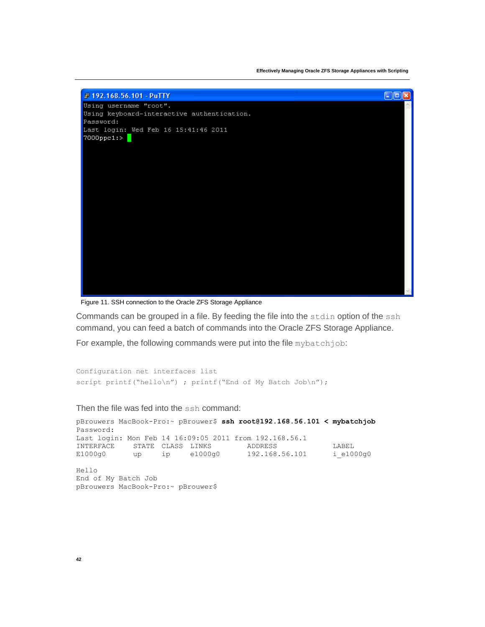**Effectively Managing Oracle ZFS Storage Appliances with Scripting**



Figure 11. SSH connection to the Oracle ZFS Storage Appliance

Commands can be grouped in a file. By feeding the file into the stdin option of the ssh command, you can feed a batch of commands into the Oracle ZFS Storage Appliance.

For example, the following commands were put into the file mybatchjob:

```
Configuration net interfaces list
script printf("hello\n") ; printf("End of My Batch Job\n");
```
Then the file was fed into the ssh command:

pBrouwers MacBook-Pro:~ pBrouwer\$ **ssh root@192.168.56.101 < mybatchjob** Password: Last login: Mon Feb 14 16:09:05 2011 from 192.168.56.1 INTERFACE STATE CLASS LINKS ADDRESS LABEL<br>E1000g0 up ip e1000g0 192.168.56.101 i\_e100 E1000g0 up ip e1000g0 192.168.56.101 i\_e1000g0 Hello End of My Batch Job pBrouwers MacBook-Pro:~ pBrouwer\$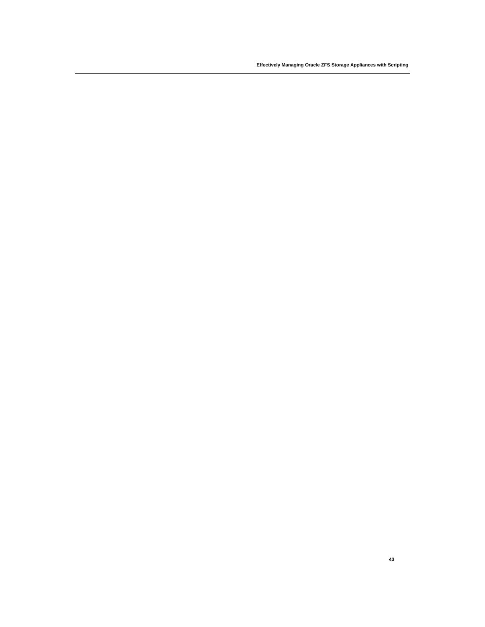**Effectively Managing Oracle ZFS Storage Appliances with Scripting**